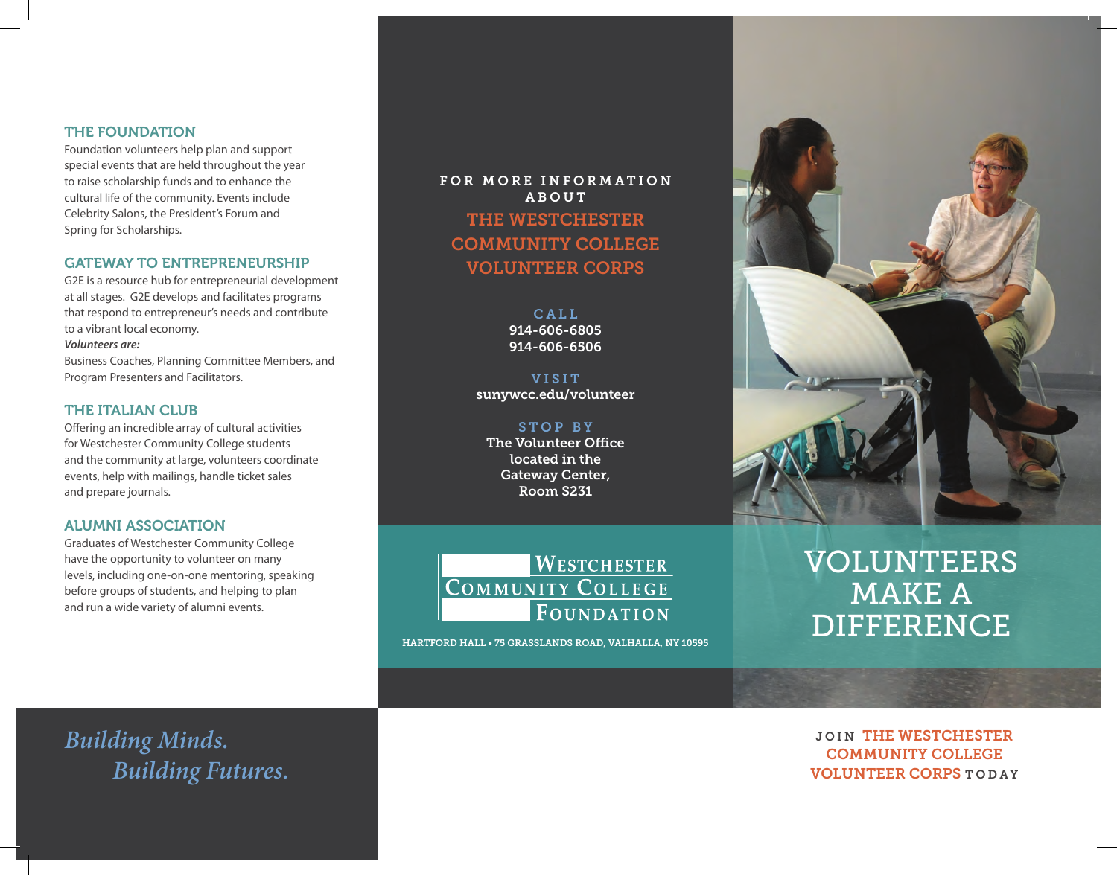## THE FOUNDATION

Foundation volunteers help plan and support special events that are held throughout the year to raise scholarship funds and to enhance the cultural life of the community. Events include Celebrity Salons, the President's Forum and Spring for Scholarships.

## GATEWAY TO ENTREPRENEURSHIP

G2E is a resource hub for entrepreneurial development at all stages. G2E develops and facilitates programs that respond to entrepreneur's needs and contribute to a vibrant local economy.

#### *Volunteers are:*

Business Coaches, Planning Committee Members, and Program Presenters and Facilitators.

## THE ITALIAN CLUB

Offering an incredible array of cultural activities for Westchester Community College students and the community at large, volunteers coordinate events, help with mailings, handle ticket sales and prepare journals.

## ALUMNI ASSOCIATION

Graduates of Westchester Community College have the opportunity to volunteer on many levels, including one-on-one mentoring, speaking before groups of students, and helping to plan and run a wide variety of alumni events.

FOR MORE INFORMATION ABOUT THE WESTCHESTER COMMUNITY COLLEGE VOLUNTEER CORPS

> CALL. 914-606-6805 914-606-6506

VISIT sunywcc.edu/volunteer

STOP BY The Volunteer Office located in the Gateway Center, Room S231



HARTFORD HALL • 75 GRASSLANDS ROAD, VALHALLA, NY 10595



# VOLUNTEERS MAKE A DIFFERENCE

JOIN THE WESTCHESTER COMMUNITY COLLEGE VOLUNTEER CORPS TODAY

*Building Minds. Building Futures.*